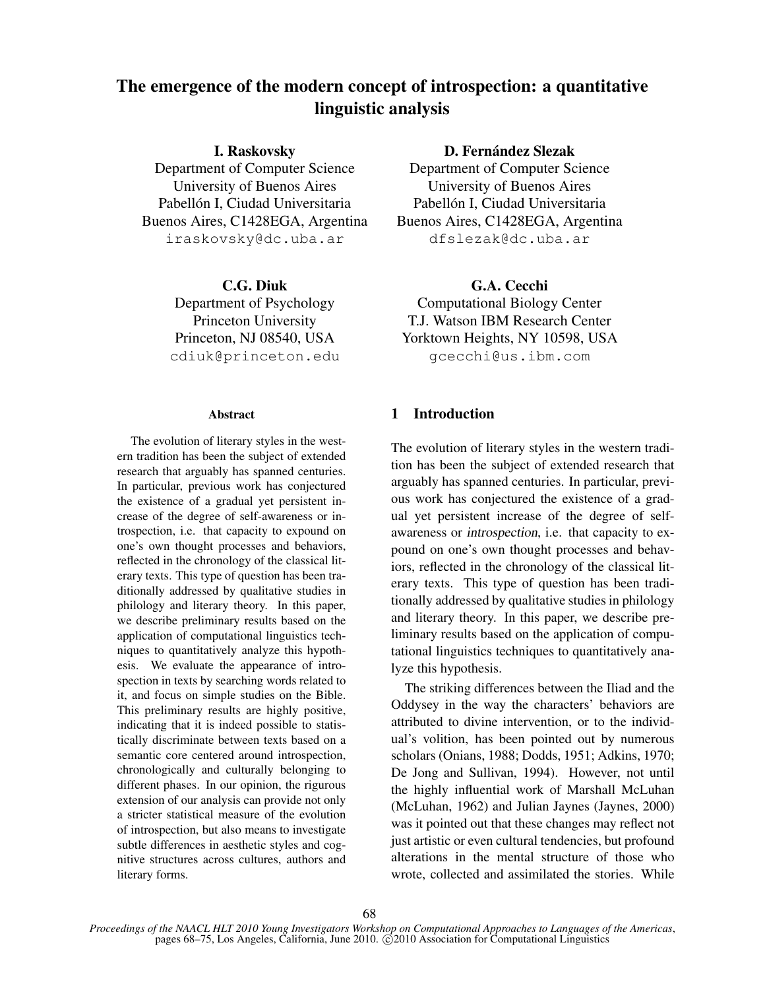# The emergence of the modern concept of introspection: a quantitative linguistic analysis

I. Raskovsky

Department of Computer Science University of Buenos Aires Pabellón I, Ciudad Universitaria Buenos Aires, C1428EGA, Argentina iraskovsky@dc.uba.ar

> C.G. Diuk Department of Psychology Princeton University Princeton, NJ 08540, USA cdiuk@princeton.edu

#### Abstract

The evolution of literary styles in the western tradition has been the subject of extended research that arguably has spanned centuries. In particular, previous work has conjectured the existence of a gradual yet persistent increase of the degree of self-awareness or introspection, i.e. that capacity to expound on one's own thought processes and behaviors, reflected in the chronology of the classical literary texts. This type of question has been traditionally addressed by qualitative studies in philology and literary theory. In this paper, we describe preliminary results based on the application of computational linguistics techniques to quantitatively analyze this hypothesis. We evaluate the appearance of introspection in texts by searching words related to it, and focus on simple studies on the Bible. This preliminary results are highly positive, indicating that it is indeed possible to statistically discriminate between texts based on a semantic core centered around introspection, chronologically and culturally belonging to different phases. In our opinion, the rigurous extension of our analysis can provide not only a stricter statistical measure of the evolution of introspection, but also means to investigate subtle differences in aesthetic styles and cognitive structures across cultures, authors and literary forms.

D. Fernández Slezak

Department of Computer Science University of Buenos Aires Pabellón I, Ciudad Universitaria Buenos Aires, C1428EGA, Argentina dfslezak@dc.uba.ar

G.A. Cecchi Computational Biology Center T.J. Watson IBM Research Center Yorktown Heights, NY 10598, USA gcecchi@us.ibm.com

## 1 Introduction

The evolution of literary styles in the western tradition has been the subject of extended research that arguably has spanned centuries. In particular, previous work has conjectured the existence of a gradual yet persistent increase of the degree of selfawareness or introspection, i.e. that capacity to expound on one's own thought processes and behaviors, reflected in the chronology of the classical literary texts. This type of question has been traditionally addressed by qualitative studies in philology and literary theory. In this paper, we describe preliminary results based on the application of computational linguistics techniques to quantitatively analyze this hypothesis.

The striking differences between the Iliad and the Oddysey in the way the characters' behaviors are attributed to divine intervention, or to the individual's volition, has been pointed out by numerous scholars (Onians, 1988; Dodds, 1951; Adkins, 1970; De Jong and Sullivan, 1994). However, not until the highly influential work of Marshall McLuhan (McLuhan, 1962) and Julian Jaynes (Jaynes, 2000) was it pointed out that these changes may reflect not just artistic or even cultural tendencies, but profound alterations in the mental structure of those who wrote, collected and assimilated the stories. While

*Proceedings of the NAACL HLT 2010 Young Investigators Workshop on Computational Approaches to Languages of the Americas*, pages 68–75, Los Angeles, California, June 2010. © 2010 Association for Computational Linguistics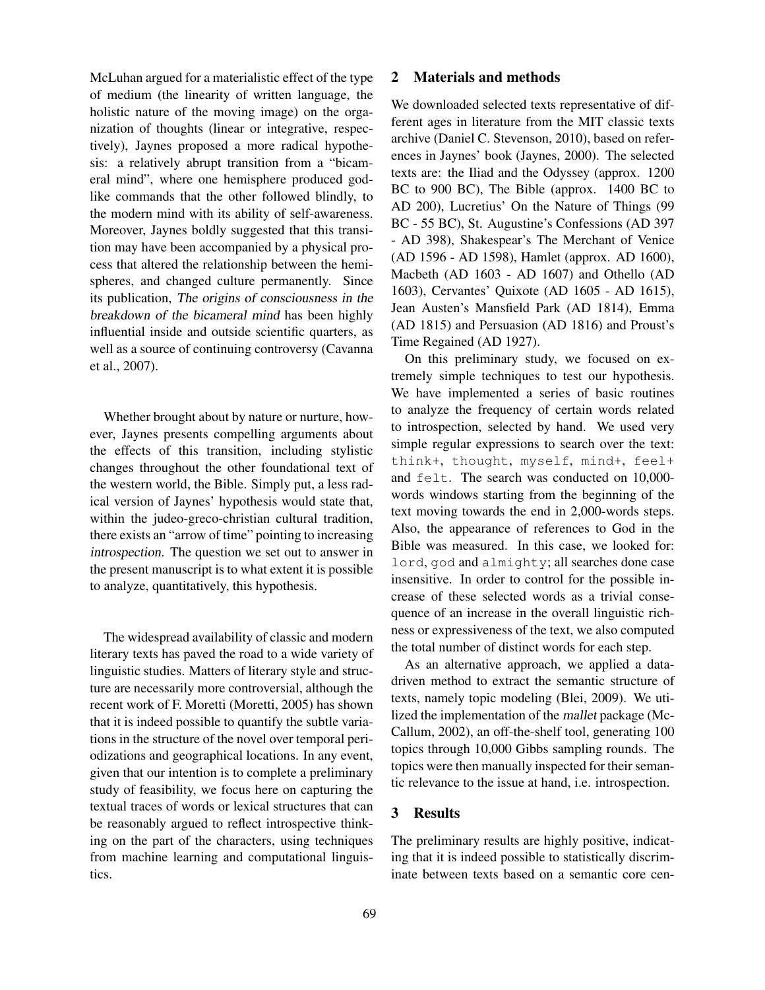McLuhan argued for a materialistic effect of the type of medium (the linearity of written language, the holistic nature of the moving image) on the organization of thoughts (linear or integrative, respectively), Jaynes proposed a more radical hypothesis: a relatively abrupt transition from a "bicameral mind", where one hemisphere produced godlike commands that the other followed blindly, to the modern mind with its ability of self-awareness. Moreover, Jaynes boldly suggested that this transition may have been accompanied by a physical process that altered the relationship between the hemispheres, and changed culture permanently. Since its publication, The origins of consciousness in the breakdown of the bicameral mind has been highly influential inside and outside scientific quarters, as well as a source of continuing controversy (Cavanna et al., 2007).

Whether brought about by nature or nurture, however, Jaynes presents compelling arguments about the effects of this transition, including stylistic changes throughout the other foundational text of the western world, the Bible. Simply put, a less radical version of Jaynes' hypothesis would state that, within the judeo-greco-christian cultural tradition, there exists an "arrow of time" pointing to increasing introspection. The question we set out to answer in the present manuscript is to what extent it is possible to analyze, quantitatively, this hypothesis.

The widespread availability of classic and modern literary texts has paved the road to a wide variety of linguistic studies. Matters of literary style and structure are necessarily more controversial, although the recent work of F. Moretti (Moretti, 2005) has shown that it is indeed possible to quantify the subtle variations in the structure of the novel over temporal periodizations and geographical locations. In any event, given that our intention is to complete a preliminary study of feasibility, we focus here on capturing the textual traces of words or lexical structures that can be reasonably argued to reflect introspective thinking on the part of the characters, using techniques from machine learning and computational linguistics.

### 2 Materials and methods

We downloaded selected texts representative of different ages in literature from the MIT classic texts archive (Daniel C. Stevenson, 2010), based on references in Jaynes' book (Jaynes, 2000). The selected texts are: the Iliad and the Odyssey (approx. 1200 BC to 900 BC), The Bible (approx. 1400 BC to AD 200), Lucretius' On the Nature of Things (99 BC - 55 BC), St. Augustine's Confessions (AD 397 - AD 398), Shakespear's The Merchant of Venice (AD 1596 - AD 1598), Hamlet (approx. AD 1600), Macbeth (AD 1603 - AD 1607) and Othello (AD 1603), Cervantes' Quixote (AD 1605 - AD 1615), Jean Austen's Mansfield Park (AD 1814), Emma (AD 1815) and Persuasion (AD 1816) and Proust's Time Regained (AD 1927).

On this preliminary study, we focused on extremely simple techniques to test our hypothesis. We have implemented a series of basic routines to analyze the frequency of certain words related to introspection, selected by hand. We used very simple regular expressions to search over the text: think+, thought, myself, mind+, feel+ and felt. The search was conducted on 10,000 words windows starting from the beginning of the text moving towards the end in 2,000-words steps. Also, the appearance of references to God in the Bible was measured. In this case, we looked for: lord, god and almighty; all searches done case insensitive. In order to control for the possible increase of these selected words as a trivial consequence of an increase in the overall linguistic richness or expressiveness of the text, we also computed the total number of distinct words for each step.

As an alternative approach, we applied a datadriven method to extract the semantic structure of texts, namely topic modeling (Blei, 2009). We utilized the implementation of the mallet package (Mc-Callum, 2002), an off-the-shelf tool, generating 100 topics through 10,000 Gibbs sampling rounds. The topics were then manually inspected for their semantic relevance to the issue at hand, i.e. introspection.

#### 3 Results

The preliminary results are highly positive, indicating that it is indeed possible to statistically discriminate between texts based on a semantic core cen-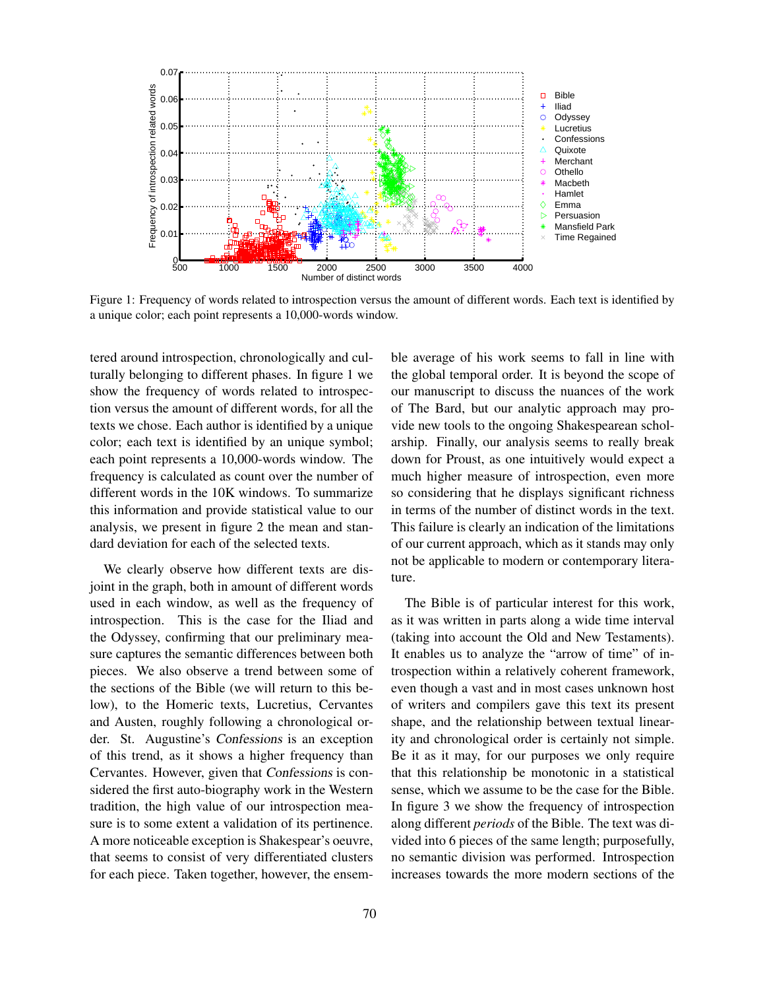

Figure 1: Frequency of words related to introspection versus the amount of different words. Each text is identified by a unique color; each point represents a 10,000-words window.

tered around introspection, chronologically and culturally belonging to different phases. In figure 1 we show the frequency of words related to introspection versus the amount of different words, for all the texts we chose. Each author is identified by a unique color; each text is identified by an unique symbol; each point represents a 10,000-words window. The frequency is calculated as count over the number of different words in the 10K windows. To summarize this information and provide statistical value to our analysis, we present in figure 2 the mean and standard deviation for each of the selected texts.

We clearly observe how different texts are disjoint in the graph, both in amount of different words used in each window, as well as the frequency of introspection. This is the case for the Iliad and the Odyssey, confirming that our preliminary measure captures the semantic differences between both pieces. We also observe a trend between some of the sections of the Bible (we will return to this below), to the Homeric texts, Lucretius, Cervantes and Austen, roughly following a chronological order. St. Augustine's Confessions is an exception of this trend, as it shows a higher frequency than Cervantes. However, given that Confessions is considered the first auto-biography work in the Western tradition, the high value of our introspection measure is to some extent a validation of its pertinence. A more noticeable exception is Shakespear's oeuvre, that seems to consist of very differentiated clusters for each piece. Taken together, however, the ensemble average of his work seems to fall in line with the global temporal order. It is beyond the scope of our manuscript to discuss the nuances of the work of The Bard, but our analytic approach may provide new tools to the ongoing Shakespearean scholarship. Finally, our analysis seems to really break down for Proust, as one intuitively would expect a much higher measure of introspection, even more so considering that he displays significant richness in terms of the number of distinct words in the text. This failure is clearly an indication of the limitations of our current approach, which as it stands may only not be applicable to modern or contemporary literature.

The Bible is of particular interest for this work, as it was written in parts along a wide time interval (taking into account the Old and New Testaments). It enables us to analyze the "arrow of time" of introspection within a relatively coherent framework, even though a vast and in most cases unknown host of writers and compilers gave this text its present shape, and the relationship between textual linearity and chronological order is certainly not simple. Be it as it may, for our purposes we only require that this relationship be monotonic in a statistical sense, which we assume to be the case for the Bible. In figure 3 we show the frequency of introspection along different *periods* of the Bible. The text was divided into 6 pieces of the same length; purposefully, no semantic division was performed. Introspection increases towards the more modern sections of the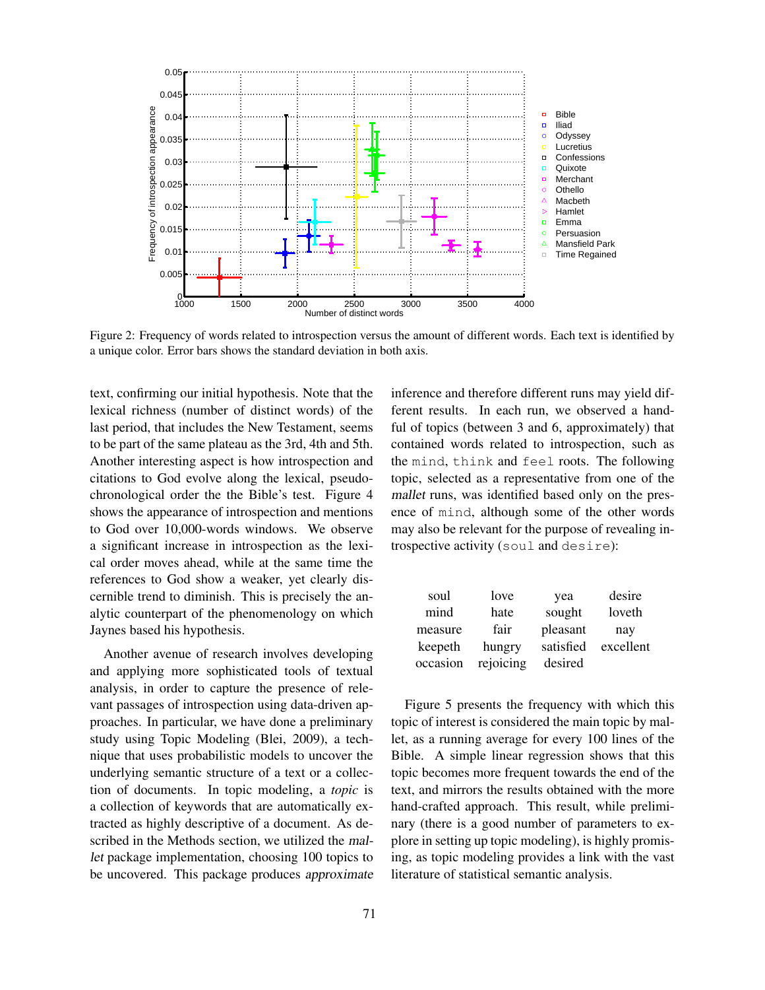

Figure 2: Frequency of words related to introspection versus the amount of different words. Each text is identified by a unique color. Error bars shows the standard deviation in both axis.

text, confirming our initial hypothesis. Note that the lexical richness (number of distinct words) of the last period, that includes the New Testament, seems to be part of the same plateau as the 3rd, 4th and 5th. Another interesting aspect is how introspection and citations to God evolve along the lexical, pseudochronological order the the Bible's test. Figure 4 shows the appearance of introspection and mentions to God over 10,000-words windows. We observe a significant increase in introspection as the lexical order moves ahead, while at the same time the references to God show a weaker, yet clearly discernible trend to diminish. This is precisely the analytic counterpart of the phenomenology on which Jaynes based his hypothesis.

Another avenue of research involves developing and applying more sophisticated tools of textual analysis, in order to capture the presence of relevant passages of introspection using data-driven approaches. In particular, we have done a preliminary study using Topic Modeling (Blei, 2009), a technique that uses probabilistic models to uncover the underlying semantic structure of a text or a collection of documents. In topic modeling, a *topic* is a collection of keywords that are automatically extracted as highly descriptive of a document. As described in the Methods section, we utilized the mallet package implementation, choosing 100 topics to be uncovered. This package produces approximate inference and therefore different runs may yield different results. In each run, we observed a handful of topics (between 3 and 6, approximately) that contained words related to introspection, such as the mind, think and feel roots. The following topic, selected as a representative from one of the mallet runs, was identified based only on the presence of mind, although some of the other words may also be relevant for the purpose of revealing introspective activity (soul and desire):

| soul     | love      | yea       | desire    |
|----------|-----------|-----------|-----------|
| mind     | hate      | sought    | loveth    |
| measure  | fair      | pleasant  | nay       |
| keepeth  | hungry    | satisfied | excellent |
| occasion | rejoicing | desired   |           |

Figure 5 presents the frequency with which this topic of interest is considered the main topic by mallet, as a running average for every 100 lines of the Bible. A simple linear regression shows that this topic becomes more frequent towards the end of the text, and mirrors the results obtained with the more hand-crafted approach. This result, while preliminary (there is a good number of parameters to explore in setting up topic modeling), is highly promising, as topic modeling provides a link with the vast literature of statistical semantic analysis.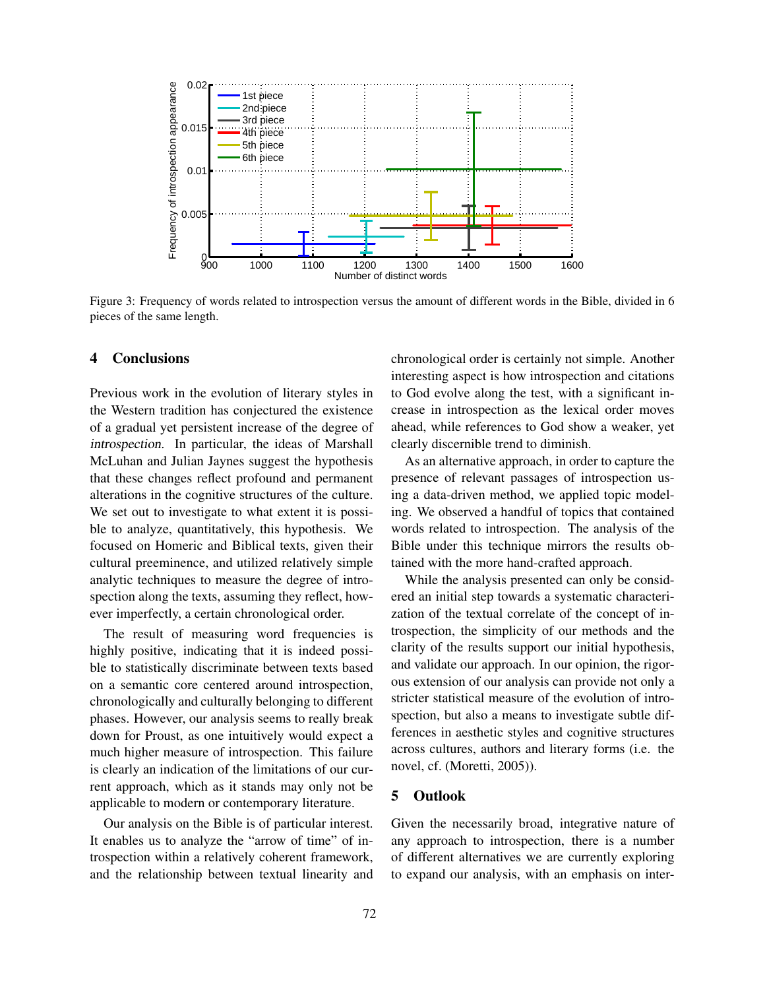

Figure 3: Frequency of words related to introspection versus the amount of different words in the Bible, divided in 6 pieces of the same length.

#### 4 Conclusions

Previous work in the evolution of literary styles in the Western tradition has conjectured the existence of a gradual yet persistent increase of the degree of introspection. In particular, the ideas of Marshall McLuhan and Julian Jaynes suggest the hypothesis that these changes reflect profound and permanent alterations in the cognitive structures of the culture. We set out to investigate to what extent it is possible to analyze, quantitatively, this hypothesis. We focused on Homeric and Biblical texts, given their cultural preeminence, and utilized relatively simple analytic techniques to measure the degree of introspection along the texts, assuming they reflect, however imperfectly, a certain chronological order.

The result of measuring word frequencies is highly positive, indicating that it is indeed possible to statistically discriminate between texts based on a semantic core centered around introspection, chronologically and culturally belonging to different phases. However, our analysis seems to really break down for Proust, as one intuitively would expect a much higher measure of introspection. This failure is clearly an indication of the limitations of our current approach, which as it stands may only not be applicable to modern or contemporary literature.

Our analysis on the Bible is of particular interest. It enables us to analyze the "arrow of time" of introspection within a relatively coherent framework, and the relationship between textual linearity and chronological order is certainly not simple. Another interesting aspect is how introspection and citations to God evolve along the test, with a significant increase in introspection as the lexical order moves ahead, while references to God show a weaker, yet clearly discernible trend to diminish.

As an alternative approach, in order to capture the presence of relevant passages of introspection using a data-driven method, we applied topic modeling. We observed a handful of topics that contained words related to introspection. The analysis of the Bible under this technique mirrors the results obtained with the more hand-crafted approach.

While the analysis presented can only be considered an initial step towards a systematic characterization of the textual correlate of the concept of introspection, the simplicity of our methods and the clarity of the results support our initial hypothesis, and validate our approach. In our opinion, the rigorous extension of our analysis can provide not only a stricter statistical measure of the evolution of introspection, but also a means to investigate subtle differences in aesthetic styles and cognitive structures across cultures, authors and literary forms (i.e. the novel, cf. (Moretti, 2005)).

## 5 Outlook

Given the necessarily broad, integrative nature of any approach to introspection, there is a number of different alternatives we are currently exploring to expand our analysis, with an emphasis on inter-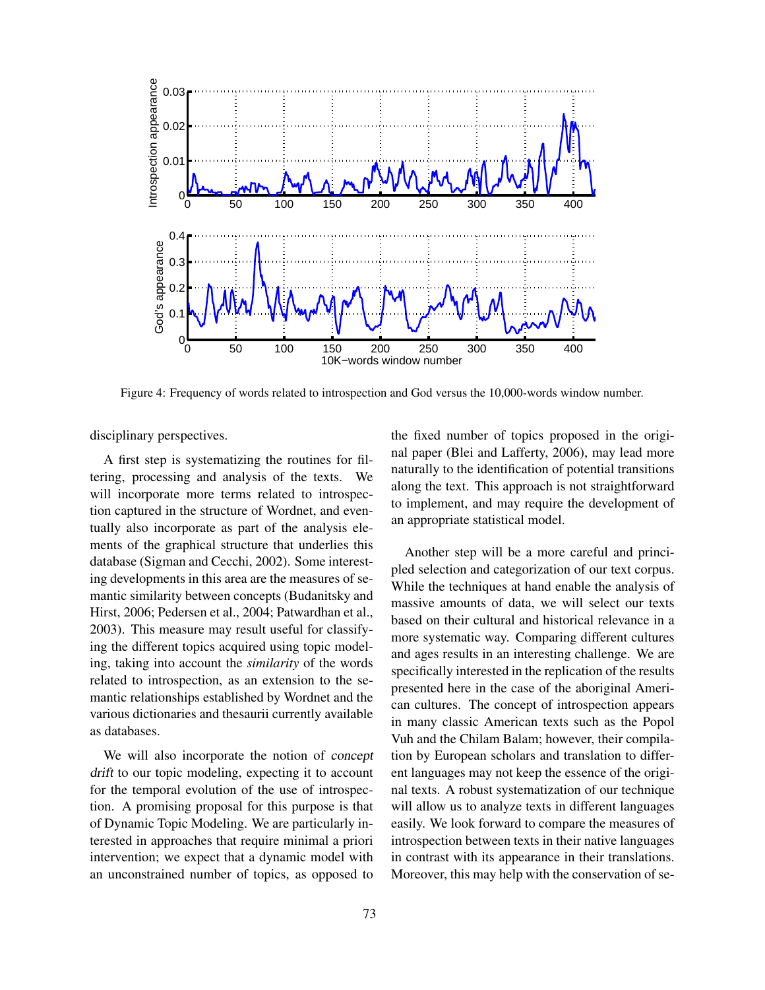

Figure 4: Frequency of words related to introspection and God versus the 10,000-words window number.

disciplinary perspectives.

A first step is systematizing the routines for filtering, processing and analysis of the texts. We will incorporate more terms related to introspection captured in the structure of Wordnet, and eventually also incorporate as part of the analysis elements of the graphical structure that underlies this database (Sigman and Cecchi, 2002). Some interesting developments in this area are the measures of semantic similarity between concepts (Budanitsky and Hirst, 2006; Pedersen et al., 2004; Patwardhan et al., 2003). This measure may result useful for classifying the different topics acquired using topic modeling, taking into account the *similarity* of the words related to introspection, as an extension to the semantic relationships established by Wordnet and the various dictionaries and thesaurii currently available as databases.

We will also incorporate the notion of concept drift to our topic modeling, expecting it to account for the temporal evolution of the use of introspection. A promising proposal for this purpose is that of Dynamic Topic Modeling. We are particularly interested in approaches that require minimal a priori intervention; we expect that a dynamic model with an unconstrained number of topics, as opposed to

the fixed number of topics proposed in the original paper (Blei and Lafferty, 2006), may lead more naturally to the identification of potential transitions along the text. This approach is not straightforward to implement, and may require the development of an appropriate statistical model.

Another step will be a more careful and principled selection and categorization of our text corpus. While the techniques at hand enable the analysis of massive amounts of data, we will select our texts based on their cultural and historical relevance in a more systematic way. Comparing different cultures and ages results in an interesting challenge. We are specifically interested in the replication of the results presented here in the case of the aboriginal American cultures. The concept of introspection appears in many classic American texts such as the Popol Vuh and the Chilam Balam; however, their compilation by European scholars and translation to different languages may not keep the essence of the original texts. A robust systematization of our technique will allow us to analyze texts in different languages easily. We look forward to compare the measures of introspection between texts in their native languages in contrast with its appearance in their translations. Moreover, this may help with the conservation of se-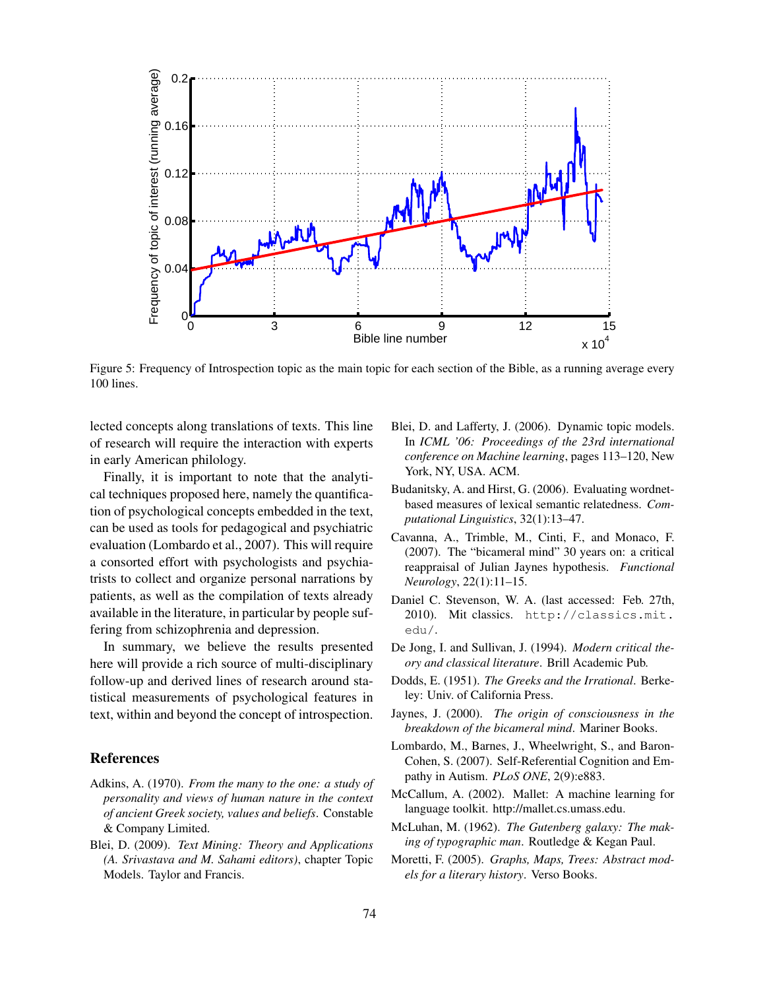

Figure 5: Frequency of Introspection topic as the main topic for each section of the Bible, as a running average every 100 lines.

lected concepts along translations of texts. This line of research will require the interaction with experts in early American philology.

Finally, it is important to note that the analytical techniques proposed here, namely the quantification of psychological concepts embedded in the text, can be used as tools for pedagogical and psychiatric evaluation (Lombardo et al., 2007). This will require a consorted effort with psychologists and psychiatrists to collect and organize personal narrations by patients, as well as the compilation of texts already available in the literature, in particular by people suffering from schizophrenia and depression.

In summary, we believe the results presented here will provide a rich source of multi-disciplinary follow-up and derived lines of research around statistical measurements of psychological features in text, within and beyond the concept of introspection.

#### References

- Adkins, A. (1970). *From the many to the one: a study of personality and views of human nature in the context of ancient Greek society, values and beliefs*. Constable & Company Limited.
- Blei, D. (2009). *Text Mining: Theory and Applications (A. Srivastava and M. Sahami editors)*, chapter Topic Models. Taylor and Francis.
- Blei, D. and Lafferty, J. (2006). Dynamic topic models. In *ICML '06: Proceedings of the 23rd international conference on Machine learning*, pages 113–120, New York, NY, USA. ACM.
- Budanitsky, A. and Hirst, G. (2006). Evaluating wordnetbased measures of lexical semantic relatedness. *Computational Linguistics*, 32(1):13–47.
- Cavanna, A., Trimble, M., Cinti, F., and Monaco, F. (2007). The "bicameral mind" 30 years on: a critical reappraisal of Julian Jaynes hypothesis. *Functional Neurology*, 22(1):11–15.
- Daniel C. Stevenson, W. A. (last accessed: Feb. 27th, 2010). Mit classics. http://classics.mit. edu/.
- De Jong, I. and Sullivan, J. (1994). *Modern critical theory and classical literature*. Brill Academic Pub.
- Dodds, E. (1951). *The Greeks and the Irrational*. Berkeley: Univ. of California Press.
- Jaynes, J. (2000). *The origin of consciousness in the breakdown of the bicameral mind*. Mariner Books.
- Lombardo, M., Barnes, J., Wheelwright, S., and Baron-Cohen, S. (2007). Self-Referential Cognition and Empathy in Autism. *PLoS ONE*, 2(9):e883.
- McCallum, A. (2002). Mallet: A machine learning for language toolkit. http://mallet.cs.umass.edu.
- McLuhan, M. (1962). *The Gutenberg galaxy: The making of typographic man*. Routledge & Kegan Paul.
- Moretti, F. (2005). *Graphs, Maps, Trees: Abstract models for a literary history*. Verso Books.